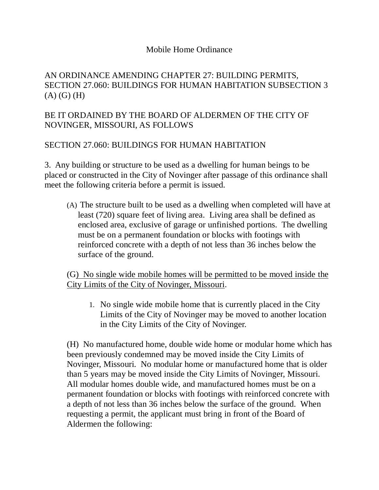## Mobile Home Ordinance

## AN ORDINANCE AMENDING CHAPTER 27: BUILDING PERMITS, SECTION 27.060: BUILDINGS FOR HUMAN HABITATION SUBSECTION 3  $(A)$   $(G)$   $(H)$

## BE IT ORDAINED BY THE BOARD OF ALDERMEN OF THE CITY OF NOVINGER, MISSOURI, AS FOLLOWS

## SECTION 27.060: BUILDINGS FOR HUMAN HABITATION

3. Any building or structure to be used as a dwelling for human beings to be placed or constructed in the City of Novinger after passage of this ordinance shall meet the following criteria before a permit is issued.

(A) The structure built to be used as a dwelling when completed will have at least (720) square feet of living area. Living area shall be defined as enclosed area, exclusive of garage or unfinished portions. The dwelling must be on a permanent foundation or blocks with footings with reinforced concrete with a depth of not less than 36 inches below the surface of the ground.

(G) No single wide mobile homes will be permitted to be moved inside the City Limits of the City of Novinger, Missouri.

1. No single wide mobile home that is currently placed in the City Limits of the City of Novinger may be moved to another location in the City Limits of the City of Novinger.

(H) No manufactured home, double wide home or modular home which has been previously condemned may be moved inside the City Limits of Novinger, Missouri. No modular home or manufactured home that is older than 5 years may be moved inside the City Limits of Novinger, Missouri. All modular homes double wide, and manufactured homes must be on a permanent foundation or blocks with footings with reinforced concrete with a depth of not less than 36 inches below the surface of the ground. When requesting a permit, the applicant must bring in front of the Board of Aldermen the following: